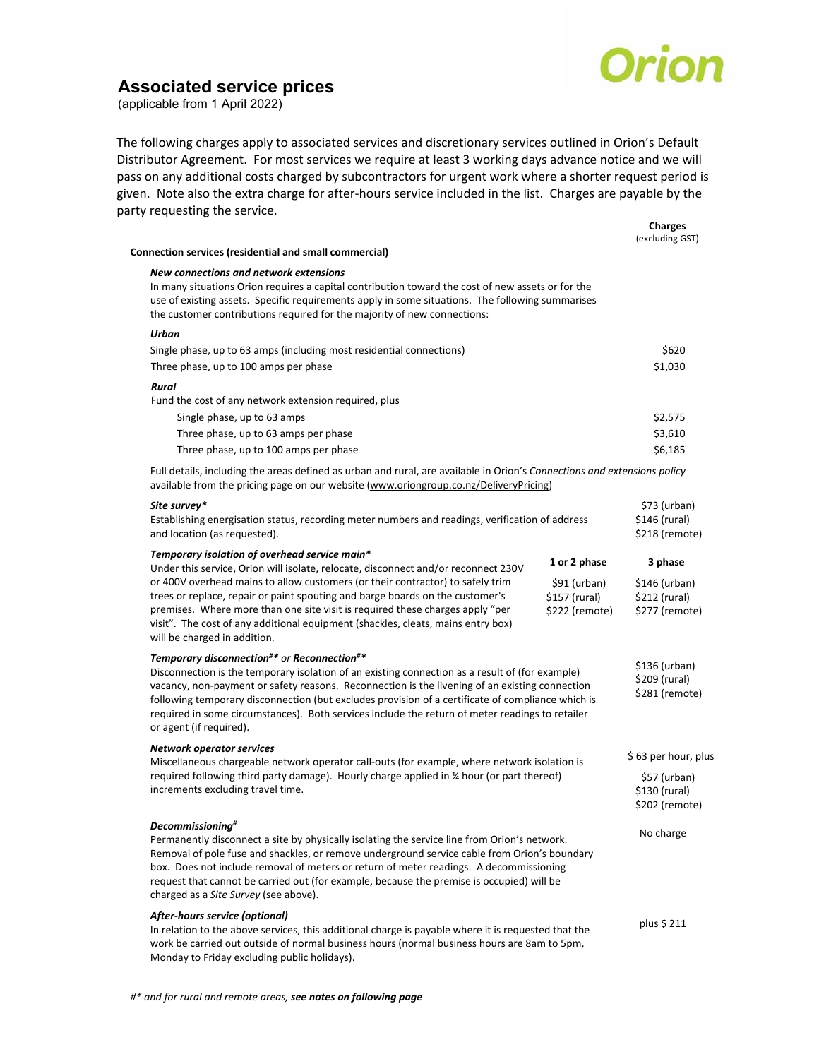

**Charges** 

## **Associated service prices**

(applicable from 1 April 2022)

The following charges apply to associated services and discretionary services outlined in Orion's Default Distributor Agreement. For most services we require at least 3 working days advance notice and we will pass on any additional costs charged by subcontractors for urgent work where a shorter request period is given. Note also the extra charge for after‐hours service included in the list. Charges are payable by the party requesting the service.

| Connection services (residential and small commercial)                                                                                                                                                                                                                                                                                                                                                                                                                              |                                                                 | aliai ges<br>(excluding GST)                                |
|-------------------------------------------------------------------------------------------------------------------------------------------------------------------------------------------------------------------------------------------------------------------------------------------------------------------------------------------------------------------------------------------------------------------------------------------------------------------------------------|-----------------------------------------------------------------|-------------------------------------------------------------|
| New connections and network extensions<br>In many situations Orion requires a capital contribution toward the cost of new assets or for the<br>use of existing assets. Specific requirements apply in some situations. The following summarises<br>the customer contributions required for the majority of new connections:                                                                                                                                                         |                                                                 |                                                             |
| Urban                                                                                                                                                                                                                                                                                                                                                                                                                                                                               |                                                                 |                                                             |
| Single phase, up to 63 amps (including most residential connections)                                                                                                                                                                                                                                                                                                                                                                                                                |                                                                 | \$620                                                       |
| Three phase, up to 100 amps per phase                                                                                                                                                                                                                                                                                                                                                                                                                                               |                                                                 | \$1,030                                                     |
| Rural                                                                                                                                                                                                                                                                                                                                                                                                                                                                               |                                                                 |                                                             |
| Fund the cost of any network extension required, plus                                                                                                                                                                                                                                                                                                                                                                                                                               |                                                                 |                                                             |
| Single phase, up to 63 amps                                                                                                                                                                                                                                                                                                                                                                                                                                                         |                                                                 | \$2,575                                                     |
| Three phase, up to 63 amps per phase                                                                                                                                                                                                                                                                                                                                                                                                                                                |                                                                 | \$3,610                                                     |
| Three phase, up to 100 amps per phase                                                                                                                                                                                                                                                                                                                                                                                                                                               |                                                                 | \$6,185                                                     |
| Full details, including the areas defined as urban and rural, are available in Orion's Connections and extensions policy<br>available from the pricing page on our website (www.oriongroup.co.nz/DeliveryPricing)                                                                                                                                                                                                                                                                   |                                                                 |                                                             |
| Site survey*<br>Establishing energisation status, recording meter numbers and readings, verification of address<br>and location (as requested).                                                                                                                                                                                                                                                                                                                                     |                                                                 | \$73 (urban)<br>\$146 (rural)<br>\$218 (remote)             |
| Temporary isolation of overhead service main*                                                                                                                                                                                                                                                                                                                                                                                                                                       |                                                                 |                                                             |
| Under this service, Orion will isolate, relocate, disconnect and/or reconnect 230V<br>or 400V overhead mains to allow customers (or their contractor) to safely trim<br>trees or replace, repair or paint spouting and barge boards on the customer's<br>premises. Where more than one site visit is required these charges apply "per<br>visit". The cost of any additional equipment (shackles, cleats, mains entry box)<br>will be charged in addition.                          | 1 or 2 phase<br>\$91 (urban)<br>\$157 (rural)<br>\$222 (remote) | 3 phase<br>\$146 (urban)<br>\$212 (rural)<br>\$277 (remote) |
| Temporary disconnection#* or Reconnection#*<br>Disconnection is the temporary isolation of an existing connection as a result of (for example)<br>vacancy, non-payment or safety reasons. Reconnection is the livening of an existing connection<br>following temporary disconnection (but excludes provision of a certificate of compliance which is<br>required in some circumstances). Both services include the return of meter readings to retailer<br>or agent (if required). |                                                                 | \$136 (urban)<br>\$209 (rural)<br>\$281 (remote)            |
| <b>Network operator services</b><br>Miscellaneous chargeable network operator call-outs (for example, where network isolation is<br>required following third party damage). Hourly charge applied in 1/4 hour (or part thereof)<br>increments excluding travel time.                                                                                                                                                                                                                |                                                                 | \$63 per hour, plus                                         |
|                                                                                                                                                                                                                                                                                                                                                                                                                                                                                     |                                                                 | \$57 (urban)<br>\$130 (rural)<br>\$202 (remote)             |
| Decommissioning#<br>Permanently disconnect a site by physically isolating the service line from Orion's network.<br>Removal of pole fuse and shackles, or remove underground service cable from Orion's boundary<br>box. Does not include removal of meters or return of meter readings. A decommissioning<br>request that cannot be carried out (for example, because the premise is occupied) will be<br>charged as a Site Survey (see above).                                    |                                                                 | No charge                                                   |
| After-hours service (optional)<br>In relation to the above services, this additional charge is payable where it is requested that the<br>work be carried out outside of normal business hours (normal business hours are 8am to 5pm,                                                                                                                                                                                                                                                |                                                                 | plus \$ 211                                                 |

Monday to Friday excluding public holidays).